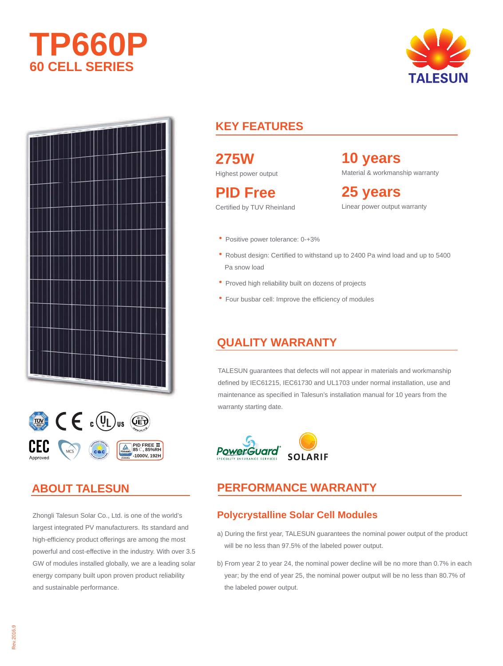







## **ABOUT TALESUN**

Zhongli Talesun Solar Co., Ltd. is one of the world's largest integrated PV manufacturers. Its standard and high-efficiency product offerings are among the most powerful and cost-effective in the industry. With over 3.5 GW of modules installed globally, we are a leading solar energy company built upon proven product reliability and sustainable performance.

# **KEY FEATURES**

**275W**

Highest power output

**PID Free** Certified by TUV Rheinland **10 years** Material & workmanship warranty

**25 years** Linear power output warranty

- ·Positive power tolerance: 0-+3%
- ·Robust design: Certified to withstand up to 2400 Pa wind load and up to 5400 Pa snow load
- Proved high reliability built on dozens of projects
- ·Four busbar cell: Improve the efficiency of modules

#### **QUALITY WARRANTY**

TALESUN guarantees that defects will not appear in materials and workmanship defined by IEC61215, IEC61730 and UL1703 under normal installation, use and maintenance as specified in Talesun's installation manual for 10 years from the warranty starting date.



#### **PERFORMANCE WARRANTY**

#### **Polycrystalline Solar Cell Modules**

- a) During the first year, TALESUN guarantees the nominal power output of the product will be no less than 97.5% of the labeled power output.
- b) From year 2 to year 24, the nominal power decline will be no more than 0.7% in each year; by the end of year 25, the nominal power output will be no less than 80.7% of the labeled power output.